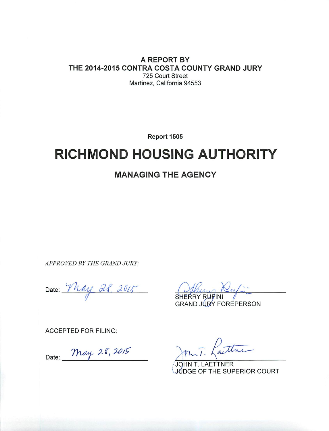A REPORT BY THE 2014-2015 CONTRA COSTA COUNTY GRAND JURY 725 Court Street Martinez, California 94553

Report 1505

# **RICHMOND HOUSING AUTHORITY**

## **MANAGING THE AGENCY**

APPROVED BY THE GRAND JURY:

Date: May 28, 2015

SHERRY RUFINI

**GRAND JURY FOREPERSON** 

**ACCEPTED FOR FILING:** 

Date: May 28, 2015

aithre

JOHN T. LAETTNER IUDGE OF THE SUPERIOR COURT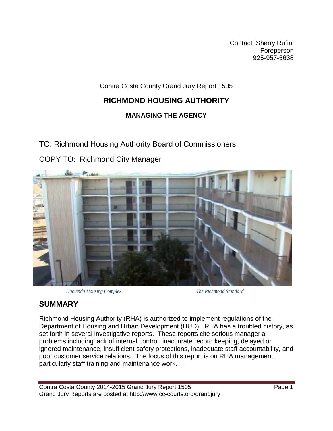Contact: Sherry Rufini Foreperson 925-957-5638

Contra Costa County Grand Jury Report 1505

## **RICHMOND HOUSING AUTHORITY**

### **MANAGING THE AGENCY**

TO: Richmond Housing Authority Board of Commissioners

COPY TO: Richmond City Manager



 *Hacienda Housing Complex The Richmond Standard*

## **SUMMARY**

Richmond Housing Authority (RHA) is authorized to implement regulations of the Department of Housing and Urban Development (HUD). RHA has a troubled history, as set forth in several investigative reports. These reports cite serious managerial problems including lack of internal control, inaccurate record keeping, delayed or ignored maintenance, insufficient safety protections, inadequate staff accountability, and poor customer service relations. The focus of this report is on RHA management, particularly staff training and maintenance work.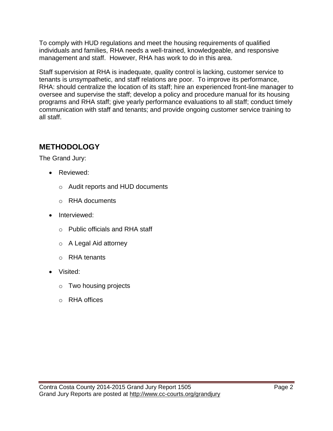To comply with HUD regulations and meet the housing requirements of qualified individuals and families, RHA needs a well-trained, knowledgeable, and responsive management and staff. However, RHA has work to do in this area.

Staff supervision at RHA is inadequate, quality control is lacking, customer service to tenants is unsympathetic, and staff relations are poor. To improve its performance, RHA: should centralize the location of its staff; hire an experienced front-line manager to oversee and supervise the staff; develop a policy and procedure manual for its housing programs and RHA staff; give yearly performance evaluations to all staff; conduct timely communication with staff and tenants; and provide ongoing customer service training to all staff.

## **METHODOLOGY**

The Grand Jury:

- Reviewed:
	- o Audit reports and HUD documents
	- o RHA documents
- Interviewed:
	- o Public officials and RHA staff
	- o A Legal Aid attorney
	- o RHA tenants
- Visited:
	- o Two housing projects
	- o RHA offices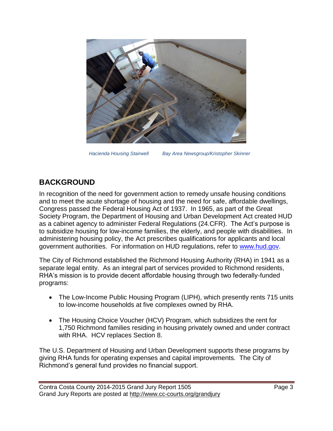

*Hacienda Housing Stairwell Bay Area Newsgroup/Kristopher Skinner*

## **BACKGROUND**

In recognition of the need for government action to remedy unsafe housing conditions and to meet the acute shortage of housing and the need for safe, affordable dwellings, Congress passed the Federal Housing Act of 1937. In 1965, as part of the Great Society Program, the Department of Housing and Urban Development Act created HUD as a cabinet agency to administer Federal Regulations (24.CFR). The Act's purpose is to subsidize housing for low-income families, the elderly, and people with disabilities. In administering housing policy, the Act prescribes qualifications for applicants and local government authorities. For information on HUD regulations, refer to [www.hud.gov.](http://www.hud.gov/)

The City of Richmond established the Richmond Housing Authority (RHA) in 1941 as a separate legal entity. As an integral part of services provided to Richmond residents, RHA's mission is to provide decent affordable housing through two federally-funded programs:

- The Low-Income Public Housing Program (LIPH), which presently rents 715 units to low-income households at five complexes owned by RHA.
- The Housing Choice Voucher (HCV) Program, which subsidizes the rent for 1,750 Richmond families residing in housing privately owned and under contract with RHA. HCV replaces Section 8.

The U.S. Department of Housing and Urban Development supports these programs by giving RHA funds for operating expenses and capital improvements. The City of Richmond's general fund provides no financial support.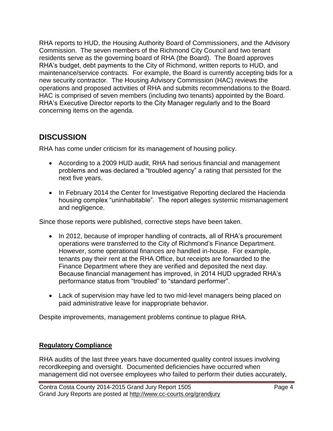RHA reports to HUD, the Housing Authority Board of Commissioners, and the Advisory Commission. The seven members of the Richmond City Council and two tenant residents serve as the governing board of RHA (the Board). The Board approves RHA's budget, debt payments to the City of Richmond, written reports to HUD, and maintenance/service contracts. For example, the Board is currently accepting bids for a new security contractor. The Housing Advisory Commission (HAC) reviews the operations and proposed activities of RHA and submits recommendations to the Board. HAC is comprised of seven members (including two tenants) appointed by the Board. RHA's Executive Director reports to the City Manager regularly and to the Board concerning items on the agenda.

## **DISCUSSION**

RHA has come under criticism for its management of housing policy.

- According to a 2009 HUD audit, RHA had serious financial and management problems and was declared a "troubled agency" a rating that persisted for the next five years.
- In February 2014 the Center for Investigative Reporting declared the Hacienda housing complex "uninhabitable". The report alleges systemic mismanagement and negligence.

Since those reports were published, corrective steps have been taken.

- In 2012, because of improper handling of contracts, all of RHA's procurement operations were transferred to the City of Richmond's Finance Department. However, some operational finances are handled in-house. For example, tenants pay their rent at the RHA Office, but receipts are forwarded to the Finance Department where they are verified and deposited the next day. Because financial management has improved, in 2014 HUD upgraded RHA's performance status from "troubled" to "standard performer".
- Lack of supervision may have led to two mid-level managers being placed on paid administrative leave for inappropriate behavior.

Despite improvements, management problems continue to plague RHA.

#### **Regulatory Compliance**

RHA audits of the last three years have documented quality control issues involving recordkeeping and oversight. Documented deficiencies have occurred when management did not oversee employees who failed to perform their duties accurately,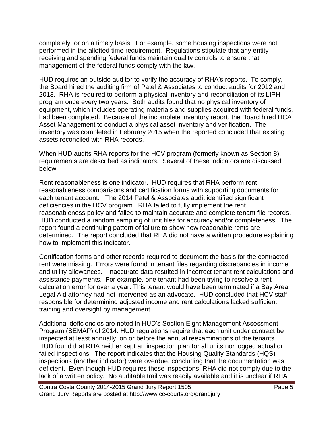completely, or on a timely basis. For example, some housing inspections were not performed in the allotted time requirement. Regulations stipulate that any entity receiving and spending federal funds maintain quality controls to ensure that management of the federal funds comply with the law.

HUD requires an outside auditor to verify the accuracy of RHA's reports. To comply, the Board hired the auditing firm of Patel & Associates to conduct audits for 2012 and 2013. RHA is required to perform a physical inventory and reconciliation of its LIPH program once every two years. Both audits found that no physical inventory of equipment, which includes operating materials and supplies acquired with federal funds, had been completed. Because of the incomplete inventory report, the Board hired HCA Asset Management to conduct a physical asset inventory and verification. The inventory was completed in February 2015 when the reported concluded that existing assets reconciled with RHA records.

When HUD audits RHA reports for the HCV program (formerly known as Section 8), requirements are described as indicators. Several of these indicators are discussed below.

Rent reasonableness is one indicator. HUD requires that RHA perform rent reasonableness comparisons and certification forms with supporting documents for each tenant account. The 2014 Patel & Associates audit identified significant deficiencies in the HCV program. RHA failed to fully implement the rent reasonableness policy and failed to maintain accurate and complete tenant file records. HUD conducted a random sampling of unit files for accuracy and/or completeness. The report found a continuing pattern of failure to show how reasonable rents are determined. The report concluded that RHA did not have a written procedure explaining how to implement this indicator.

Certification forms and other records required to document the basis for the contracted rent were missing. Errors were found in tenant files regarding discrepancies in income and utility allowances. Inaccurate data resulted in incorrect tenant rent calculations and assistance payments. For example, one tenant had been trying to resolve a rent calculation error for over a year. This tenant would have been terminated if a Bay Area Legal Aid attorney had not intervened as an advocate. HUD concluded that HCV staff responsible for determining adjusted income and rent calculations lacked sufficient training and oversight by management.

Additional deficiencies are noted in HUD's Section Eight Management Assessment Program (SEMAP) of 2014. HUD regulations require that each unit under contract be inspected at least annually, on or before the annual reexaminations of the tenants. HUD found that RHA neither kept an inspection plan for all units nor logged actual or failed inspections. The report indicates that the Housing Quality Standards (HQS) inspections (another indicator) were overdue, concluding that the documentation was deficient. Even though HUD requires these inspections, RHA did not comply due to the lack of a written policy. No auditable trail was readily available and it is unclear if RHA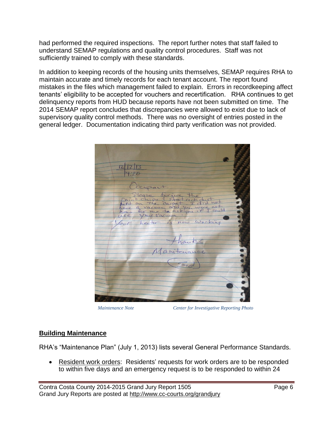had performed the required inspections. The report further notes that staff failed to understand SEMAP regulations and quality control procedures. Staff was not sufficiently trained to comply with these standards.

In addition to keeping records of the housing units themselves, SEMAP requires RHA to maintain accurate and timely records for each tenant account. The report found mistakes in the files which management failed to explain. Errors in recordkeeping affect tenants' eligibility to be accepted for vouchers and recertification. RHA continues to get delinquency reports from HUD because reports have not been submitted on time. The 2014 SEMAP report concludes that discrepancies were allowed to exist due to lack of supervisory quality control methods. There was no oversight of entries posted in the general ledger. Documentation indicating third party verification was not provided.

| 12 2 3                                   |  |
|------------------------------------------|--|
|                                          |  |
|                                          |  |
|                                          |  |
|                                          |  |
| Occupant.                                |  |
|                                          |  |
| Please trigue the                        |  |
|                                          |  |
|                                          |  |
|                                          |  |
|                                          |  |
| have a vacuum cord vou wore not          |  |
|                                          |  |
| low heater is now Working                |  |
|                                          |  |
|                                          |  |
|                                          |  |
| thanks                                   |  |
|                                          |  |
|                                          |  |
| Manitenance                              |  |
|                                          |  |
|                                          |  |
| $\begin{array}{c} \n\hline\n\end{array}$ |  |
|                                          |  |
|                                          |  |
|                                          |  |
|                                          |  |
|                                          |  |
|                                          |  |
|                                          |  |
|                                          |  |
|                                          |  |

*Maintenance Note Center for Investigative Reporting Photo*

#### **Building Maintenance**

RHA's "Maintenance Plan" (July 1, 2013) lists several General Performance Standards.

• Resident work orders: Residents' requests for work orders are to be responded to within five days and an emergency request is to be responded to within 24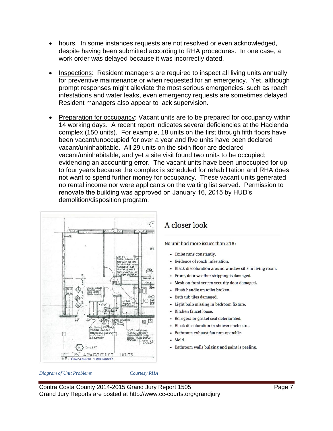- hours. In some instances requests are not resolved or even acknowledged, despite having been submitted according to RHA procedures. In one case, a work order was delayed because it was incorrectly dated.
- Inspections: Resident managers are required to inspect all living units annually for preventive maintenance or when requested for an emergency. Yet, although prompt responses might alleviate the most serious emergencies, such as roach infestations and water leaks, even emergency requests are sometimes delayed. Resident managers also appear to lack supervision.
- Preparation for occupancy: Vacant units are to be prepared for occupancy within 14 working days. A recent report indicates several deficiencies at the Hacienda complex (150 units). For example, 18 units on the first through fifth floors have been vacant/unoccupied for over a year and five units have been declared vacant/uninhabitable. All 29 units on the sixth floor are declared vacant/uninhabitable, and yet a site visit found two units to be occupied; evidencing an accounting error. The vacant units have been unoccupied for up to four years because the complex is scheduled for rehabilitation and RHA does not want to spend further money for occupancy. These vacant units generated no rental income nor were applicants on the waiting list served. Permission to renovate the building was approved on January 16, 2015 by HUD's demolition/disposition program.



## A closer look

No unit had more issues than 218:

- Toilet runs constantly.
- Evidence of roach infestation.
- · Black discoloration around window sills in living room.
- Front, door weather stripping is damaged.
- Mesh on front screen security door damaged.
- · Flush handle on toilet broken.
- Bath tub tiles damaged.
- Light bulb missing in bedroom fixture.
- · Kitchen faucet loose.
- Refrigerator gasket seal deteriorated.
- Black discoloration in shower enclosure.
- Bathroom exhaust fan non-operable.
- · Mold.
- Bathroom walls bulging and paint is peeling.

*Diagram of Unit Problems Courtesy RHA*

Contra Costa County 2014-2015 Grand Jury Report 1505 **Page 7** Page 7 Grand Jury Reports are posted at http://www.cc-courts.org/grandjury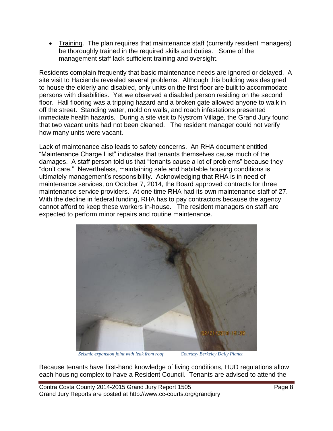Training. The plan requires that maintenance staff (currently resident managers) be thoroughly trained in the required skills and duties. Some of the management staff lack sufficient training and oversight.

Residents complain frequently that basic maintenance needs are ignored or delayed. A site visit to Hacienda revealed several problems. Although this building was designed to house the elderly and disabled, only units on the first floor are built to accommodate persons with disabilities. Yet we observed a disabled person residing on the second floor. Hall flooring was a tripping hazard and a broken gate allowed anyone to walk in off the street. Standing water, mold on walls, and roach infestations presented immediate health hazards. During a site visit to Nystrom Village, the Grand Jury found that two vacant units had not been cleaned. The resident manager could not verify how many units were vacant.

Lack of maintenance also leads to safety concerns. An RHA document entitled "Maintenance Charge List" indicates that tenants themselves cause much of the damages. A staff person told us that "tenants cause a lot of problems" because they "don't care." Nevertheless, maintaining safe and habitable housing conditions is ultimately management's responsibility. Acknowledging that RHA is in need of maintenance services, on October 7, 2014, the Board approved contracts for three maintenance service providers. At one time RHA had its own maintenance staff of 27. With the decline in federal funding, RHA has to pay contractors because the agency cannot afford to keep these workers in-house. The resident managers on staff are expected to perform minor repairs and routine maintenance.



*Seismic expansion joint with leak from roof Courtesy Berkeley Daily Planet* 

Because tenants have first-hand knowledge of living conditions, HUD regulations allow each housing complex to have a Resident Council. Tenants are advised to attend the

Contra Costa County 2014-2015 Grand Jury Report 1505 **Page 8** Grand Jury Reports are posted at http://www.cc-courts.org/grandjury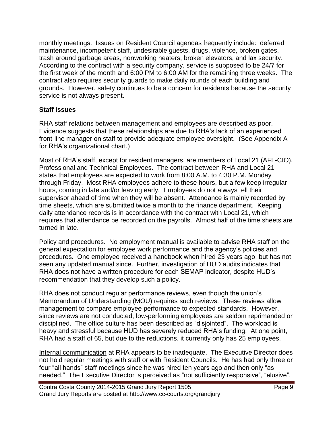monthly meetings. Issues on Resident Council agendas frequently include: deferred maintenance, incompetent staff, undesirable guests, drugs, violence, broken gates, trash around garbage areas, nonworking heaters, broken elevators, and lax security. According to the contract with a security company, service is supposed to be 24/7 for the first week of the month and 6:00 PM to 6:00 AM for the remaining three weeks. The contract also requires security guards to make daily rounds of each building and grounds. However, safety continues to be a concern for residents because the security service is not always present.

#### **Staff Issues**

RHA staff relations between management and employees are described as poor. Evidence suggests that these relationships are due to RHA's lack of an experienced front-line manager on staff to provide adequate employee oversight. (See Appendix A for RHA's organizational chart.)

Most of RHA's staff, except for resident managers, are members of Local 21 (AFL-CIO), Professional and Technical Employees. The contract between RHA and Local 21 states that employees are expected to work from 8:00 A.M. to 4:30 P.M. Monday through Friday. Most RHA employees adhere to these hours, but a few keep irregular hours, coming in late and/or leaving early. Employees do not always tell their supervisor ahead of time when they will be absent. Attendance is mainly recorded by time sheets, which are submitted twice a month to the finance department. Keeping daily attendance records is in accordance with the contract with Local 21, which requires that attendance be recorded on the payrolls. Almost half of the time sheets are turned in late.

Policy and procedures*.* No employment manual is available to advise RHA staff on the general expectation for employee work performance and the agency's policies and procedures. One employee received a handbook when hired 23 years ago, but has not seen any updated manual since. Further, investigation of HUD audits indicates that RHA does not have a written procedure for each SEMAP indicator, despite HUD's recommendation that they develop such a policy.

RHA does not conduct regular performance reviews, even though the union's Memorandum of Understanding (MOU) requires such reviews. These reviews allow management to compare employee performance to expected standards. However, since reviews are not conducted, low-performing employees are seldom reprimanded or disciplined. The office culture has been described as "disjointed". The workload is heavy and stressful because HUD has severely reduced RHA's funding. At one point, RHA had a staff of 65, but due to the reductions, it currently only has 25 employees.

Internal communication at RHA appears to be inadequate. The Executive Director does not hold regular meetings with staff or with Resident Councils. He has had only three or four "all hands" staff meetings since he was hired ten years ago and then only "as needed." The Executive Director is perceived as "not sufficiently responsive", "elusive",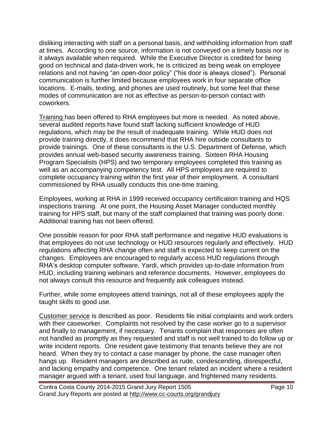disliking interacting with staff on a personal basis, and withholding information from staff at times. According to one source, information is not conveyed on a timely basis nor is it always available when required. While the Executive Director is credited for being good on technical and data-driven work, he is criticized as being weak on employee relations and not having "an open-door policy" ("his door is always closed"). Personal communication is further limited because employees work in four separate office locations. E-mails, texting, and phones are used routinely, but some feel that these modes of communication are not as effective as person-to-person contact with coworkers.

Training has been offered to RHA employees but more is needed. As noted above, several audited reports have found staff lacking sufficient knowledge of HUD regulations, which may be the result of inadequate training. While HUD does not provide training directly, it does recommend that RHA hire outside consultants to provide trainings. One of these consultants is the U.S. Department of Defense, which provides annual web-based security awareness training. Sixteen RHA Housing Program Specialists (HPS) and two temporary employees completed this training as well as an accompanying competency test. All HPS employees are required to complete occupancy training within the first year of their employment. A consultant commissioned by RHA usually conducts this one-time training.

Employees, working at RHA in 1999 received occupancy certification training and HQS inspections training. At one point, the Housing Asset Manager conducted monthly training for HPS staff, but many of the staff complained that training was poorly done. Additional training has not been offered.

One possible reason for poor RHA staff performance and negative HUD evaluations is that employees do not use technology or HUD resources regularly and effectively. HUD regulations affecting RHA change often and staff is expected to keep current on the changes. Employees are encouraged to regularly access HUD regulations through RHA's desktop computer software, Yardi, which provides up-to-date information from HUD, including training webinars and reference documents. However, employees do not always consult this resource and frequently ask colleagues instead.

Further, while some employees attend trainings, not all of these employees apply the taught skills to good use.

Customer service is described as poor. Residents file initial complaints and work orders with their caseworker. Complaints not resolved by the case worker go to a supervisor and finally to management, if necessary. Tenants complain that responses are often not handled as promptly as they requested and staff is not well trained to do follow up or write incident reports. One resident gave testimony that tenants believe they are not heard. When they try to contact a case manager by phone, the case manager often hangs up. Resident managers are described as rude, condescending, disrespectful, and lacking empathy and competence. One tenant related an incident where a resident manager argued with a tenant, used foul language, and frightened many residents.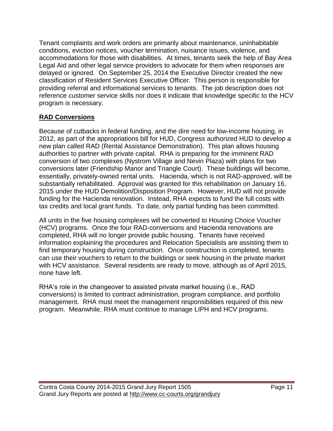Tenant complaints and work orders are primarily about maintenance, uninhabitable conditions, eviction notices, voucher termination, nuisance issues, violence, and accommodations for those with disabilities. At times, tenants seek the help of Bay Area Legal Aid and other legal service providers to advocate for them when responses are delayed or ignored. On September 25, 2014 the Executive Director created the new classification of Resident Services Executive Officer. This person is responsible for providing referral and informational services to tenants. The job description does not reference customer service skills nor does it indicate that knowledge specific to the HCV program is necessary.

#### **RAD Conversions**

Because of cutbacks in federal funding, and the dire need for low-income housing, in 2012, as part of the appropriations bill for HUD, Congress authorized HUD to develop a new plan called RAD (Rental Assistance Demonstration). This plan allows housing authorities to partner with private capital. RHA is preparing for the imminent RAD conversion of two complexes (Nystrom Village and Nevin Plaza) with plans for two conversions later (Friendship Manor and Triangle Court). These buildings will become, essentially, privately-owned rental units. Hacienda, which is not RAD-approved, will be substantially rehabilitated. Approval was granted for this rehabilitation on January 16, 2015 under the HUD Demolition/Disposition Program. However, HUD will not provide funding for the Hacienda renovation. Instead, RHA expects to fund the full costs with tax credits and local grant funds. To date, only partial funding has been committed.

All units in the five housing complexes will be converted to Housing Choice Voucher (HCV) programs. Once the four RAD-conversions and Hacienda renovations are completed, RHA will no longer provide public housing. Tenants have received information explaining the procedures and Relocation Specialists are assisting them to find temporary housing during construction. Once construction is completed, tenants can use their vouchers to return to the buildings or seek housing in the private market with HCV assistance. Several residents are ready to move, although as of April 2015, none have left.

RHA's role in the changeover to assisted private market housing (i.e., RAD conversions) is limited to contract administration, program compliance, and portfolio management. RHA must meet the management responsibilities required of this new program. Meanwhile, RHA must continue to manage LIPH and HCV programs.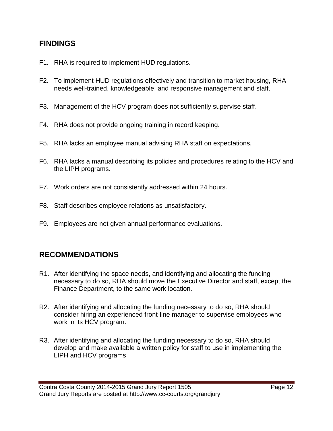### **FINDINGS**

- F1. RHA is required to implement HUD regulations.
- F2. To implement HUD regulations effectively and transition to market housing, RHA needs well-trained, knowledgeable, and responsive management and staff.
- F3. Management of the HCV program does not sufficiently supervise staff.
- F4. RHA does not provide ongoing training in record keeping.
- F5. RHA lacks an employee manual advising RHA staff on expectations.
- F6. RHA lacks a manual describing its policies and procedures relating to the HCV and the LIPH programs.
- F7. Work orders are not consistently addressed within 24 hours.
- F8. Staff describes employee relations as unsatisfactory.
- F9. Employees are not given annual performance evaluations.

## **RECOMMENDATIONS**

- R1. After identifying the space needs, and identifying and allocating the funding necessary to do so, RHA should move the Executive Director and staff, except the Finance Department, to the same work location.
- R2. After identifying and allocating the funding necessary to do so, RHA should consider hiring an experienced front-line manager to supervise employees who work in its HCV program.
- R3. After identifying and allocating the funding necessary to do so, RHA should develop and make available a written policy for staff to use in implementing the LIPH and HCV programs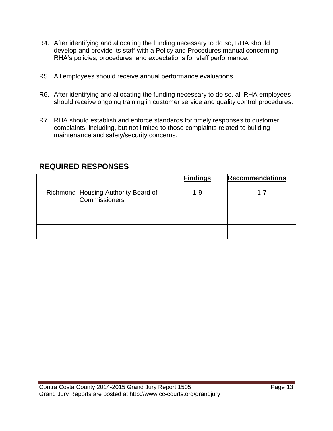- R4. After identifying and allocating the funding necessary to do so, RHA should develop and provide its staff with a Policy and Procedures manual concerning RHA's policies, procedures, and expectations for staff performance.
- R5. All employees should receive annual performance evaluations.
- R6. After identifying and allocating the funding necessary to do so, all RHA employees should receive ongoing training in customer service and quality control procedures.
- R7. RHA should establish and enforce standards for timely responses to customer complaints, including, but not limited to those complaints related to building maintenance and safety/security concerns.

|                                                             | <b>Findings</b> | <b>Recommendations</b> |
|-------------------------------------------------------------|-----------------|------------------------|
| Richmond Housing Authority Board of<br><b>Commissioners</b> | 1-9             | 1-7                    |
|                                                             |                 |                        |
|                                                             |                 |                        |

### **REQUIRED RESPONSES**